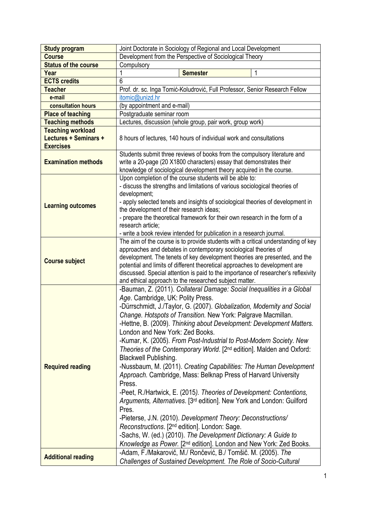| <b>Study program</b>                                                  | Joint Doctorate in Sociology of Regional and Local Development                                                                                                                                                                                                                                                                                                                                                                                                                                                                                                                                                                                                                                                                                                                                                                                                                                                                                                                                                                                                                                                                                                           |
|-----------------------------------------------------------------------|--------------------------------------------------------------------------------------------------------------------------------------------------------------------------------------------------------------------------------------------------------------------------------------------------------------------------------------------------------------------------------------------------------------------------------------------------------------------------------------------------------------------------------------------------------------------------------------------------------------------------------------------------------------------------------------------------------------------------------------------------------------------------------------------------------------------------------------------------------------------------------------------------------------------------------------------------------------------------------------------------------------------------------------------------------------------------------------------------------------------------------------------------------------------------|
| <b>Course</b>                                                         | Development from the Perspective of Sociological Theory                                                                                                                                                                                                                                                                                                                                                                                                                                                                                                                                                                                                                                                                                                                                                                                                                                                                                                                                                                                                                                                                                                                  |
| <b>Status of the course</b>                                           | Compulsory                                                                                                                                                                                                                                                                                                                                                                                                                                                                                                                                                                                                                                                                                                                                                                                                                                                                                                                                                                                                                                                                                                                                                               |
| Year                                                                  | <b>Semester</b>                                                                                                                                                                                                                                                                                                                                                                                                                                                                                                                                                                                                                                                                                                                                                                                                                                                                                                                                                                                                                                                                                                                                                          |
| <b>ECTS credits</b>                                                   | 6                                                                                                                                                                                                                                                                                                                                                                                                                                                                                                                                                                                                                                                                                                                                                                                                                                                                                                                                                                                                                                                                                                                                                                        |
| <b>Teacher</b>                                                        | Prof. dr. sc. Inga Tomić-Koludrović, Full Professor, Senior Research Fellow                                                                                                                                                                                                                                                                                                                                                                                                                                                                                                                                                                                                                                                                                                                                                                                                                                                                                                                                                                                                                                                                                              |
| e-mail                                                                | itomic@unizd.hr                                                                                                                                                                                                                                                                                                                                                                                                                                                                                                                                                                                                                                                                                                                                                                                                                                                                                                                                                                                                                                                                                                                                                          |
| consultation hours                                                    | (by appointment and e-mail)                                                                                                                                                                                                                                                                                                                                                                                                                                                                                                                                                                                                                                                                                                                                                                                                                                                                                                                                                                                                                                                                                                                                              |
| <b>Place of teaching</b>                                              | Postgraduate seminar room                                                                                                                                                                                                                                                                                                                                                                                                                                                                                                                                                                                                                                                                                                                                                                                                                                                                                                                                                                                                                                                                                                                                                |
| <b>Teaching methods</b>                                               | Lectures, discussion (whole group, pair work, group work)                                                                                                                                                                                                                                                                                                                                                                                                                                                                                                                                                                                                                                                                                                                                                                                                                                                                                                                                                                                                                                                                                                                |
| <b>Teaching workload</b><br>Lectures + Seminars +<br><b>Exercises</b> | 8 hours of lectures, 140 hours of individual work and consultations                                                                                                                                                                                                                                                                                                                                                                                                                                                                                                                                                                                                                                                                                                                                                                                                                                                                                                                                                                                                                                                                                                      |
| <b>Examination methods</b>                                            | Students submit three reviews of books from the compulsory literature and<br>write a 20-page (20 X1800 characters) essay that demonstrates their<br>knowledge of sociological development theory acquired in the course.                                                                                                                                                                                                                                                                                                                                                                                                                                                                                                                                                                                                                                                                                                                                                                                                                                                                                                                                                 |
| <b>Learning outcomes</b>                                              | Upon completion of the course students will be able to:<br>- discuss the strengths and limitations of various sociological theories of<br>development;<br>- apply selected tenets and insights of sociological theories of development in<br>the development of their research ideas;<br>- prepare the theoretical framework for their own research in the form of a<br>research article;<br>- write a book review intended for publication in a research journal.                                                                                                                                                                                                                                                                                                                                                                                                                                                                                                                                                                                                                                                                                                       |
| <b>Course subject</b>                                                 | The aim of the course is to provide students with a critical understanding of key<br>approaches and debates in contemporary sociological theories of<br>development. The tenets of key development theories are presented, and the<br>potential and limits of different theoretical approaches to development are<br>discussed. Special attention is paid to the importance of researcher's reflexivity<br>and ethical approach to the researched subject matter.                                                                                                                                                                                                                                                                                                                                                                                                                                                                                                                                                                                                                                                                                                        |
| <b>Required reading</b>                                               | -Bauman, Z. (2011). Collateral Damage: Social Inequalities in a Global<br>Age. Cambridge, UK: Polity Press.<br>-Dürrschmidt, J./Taylor, G. (2007). Globalization, Modernity and Social<br>Change. Hotspots of Transition. New York: Palgrave Macmillan.<br>-Hettne, B. (2009). Thinking about Development: Development Matters.<br>London and New York: Zed Books.<br>-Kumar, K. (2005). From Post-Industrial to Post-Modern Society. New<br>Theories of the Contemporary World. [2 <sup>nd</sup> edition]. Malden and Oxford:<br><b>Blackwell Publishing.</b><br>-Nussbaum, M. (2011). Creating Capabilities: The Human Development<br>Approach. Cambridge, Mass: Belknap Press of Harvard University<br>Press.<br>-Peet, R./Hartwick, E. (2015). Theories of Development: Contentions,<br>Arguments, Alternatives. [3 <sup>rd</sup> edition]. New York and London: Guilford<br>Pres.<br>-Pieterse, J.N. (2010). Development Theory: Deconstructions/<br>Reconstructions. [2 <sup>nd</sup> edition]. London: Sage.<br>-Sachs, W. (ed.) (2010). The Development Dictionary: A Guide to<br>Knowledge as Power. [2 <sup>nd</sup> edition]. London and New York: Zed Books. |
| <b>Additional reading</b>                                             | -Adam, F./Makarovič, M./ Rončević, B./ Tomšič. M. (2005). The<br>Challenges of Sustained Development. The Role of Socio-Cultural                                                                                                                                                                                                                                                                                                                                                                                                                                                                                                                                                                                                                                                                                                                                                                                                                                                                                                                                                                                                                                         |